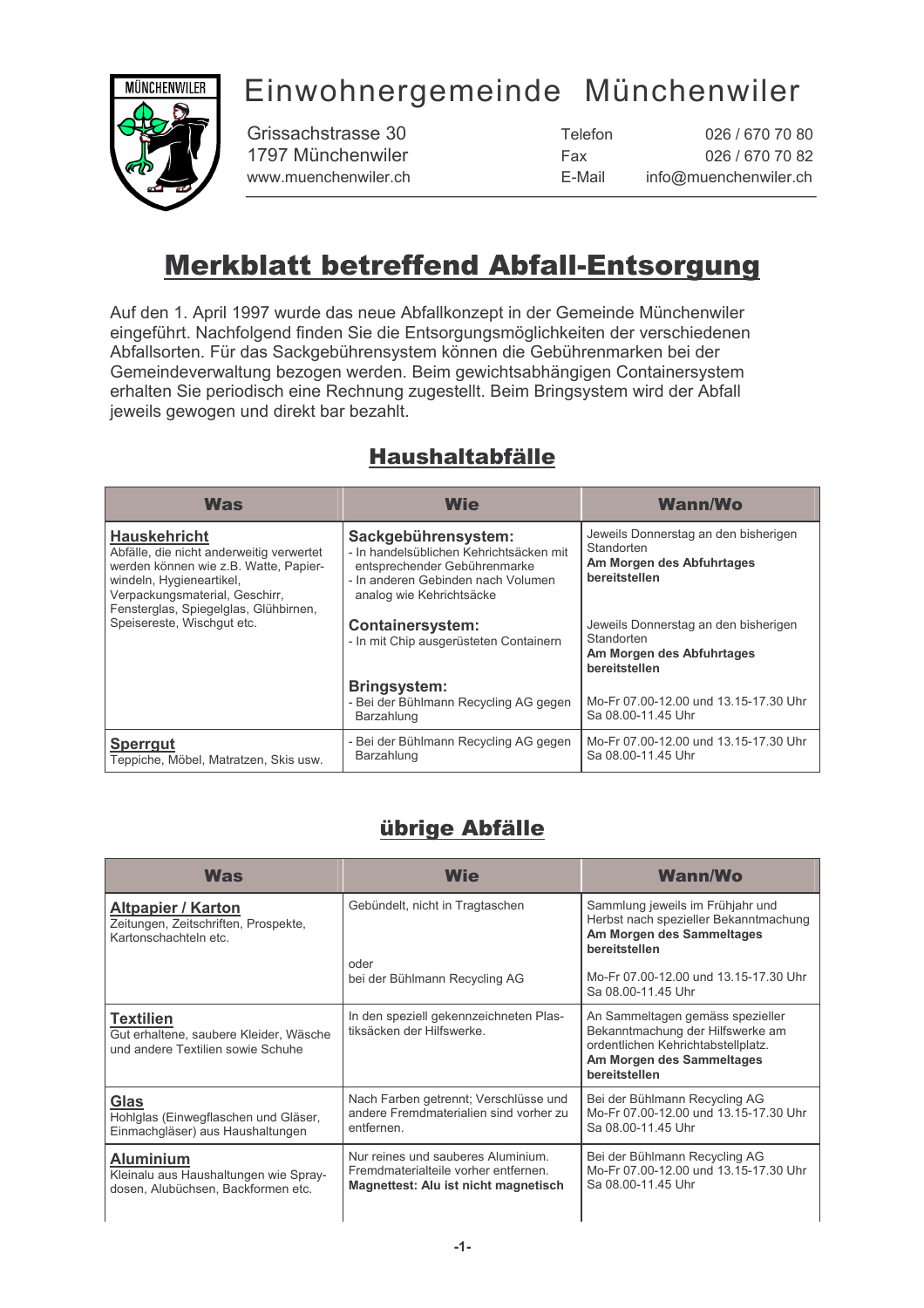# Einwohnergemeinde Münchenwiler



Grissachstrasse 30 1797 Münchenwiler www.muenchenwiler.ch

| Telefon | 026 / 670 70 80       |
|---------|-----------------------|
| Fax     | 026 / 670 70 82       |
| E-Mail  | info@muenchenwiler.ch |

## **Merkblatt betreffend Abfall-Entsorgung**

Auf den 1. April 1997 wurde das neue Abfallkonzept in der Gemeinde Münchenwiler eingeführt. Nachfolgend finden Sie die Entsorgungsmöglichkeiten der verschiedenen Abfallsorten. Für das Sackgebührensystem können die Gebührenmarken bei der Gemeindeverwaltung bezogen werden. Beim gewichtsabhängigen Containersystem erhalten Sie periodisch eine Rechnung zugestellt. Beim Bringsystem wird der Abfall jeweils gewogen und direkt bar bezahlt.

### **Haushaltabfälle**

| <b>Was</b>                                                                                                                                                                                                                                    | <b>Wie</b>                                                                                                                                                                                                                            | <b>Wann/Wo</b>                                                                                                                                                                      |
|-----------------------------------------------------------------------------------------------------------------------------------------------------------------------------------------------------------------------------------------------|---------------------------------------------------------------------------------------------------------------------------------------------------------------------------------------------------------------------------------------|-------------------------------------------------------------------------------------------------------------------------------------------------------------------------------------|
| <b>Hauskehricht</b><br>Abfälle, die nicht anderweitig verwertet<br>werden können wie z.B. Watte, Papier-<br>windeln, Hygieneartikel,<br>Verpackungsmaterial, Geschirr,<br>Fensterglas, Spiegelglas, Glühbirnen,<br>Speisereste, Wischqut etc. | Sackgebührensystem:<br>- In handelsüblichen Kehrichtsäcken mit<br>entsprechender Gebührenmarke<br>- In anderen Gebinden nach Volumen<br>analog wie Kehrichtsäcke<br><b>Containersystem:</b><br>- In mit Chip ausgerüsteten Containern | Jeweils Donnerstag an den bisherigen<br>Standorten<br>Am Morgen des Abfuhrtages<br>bereitstellen<br>Jeweils Donnerstag an den bisherigen<br>Standorten<br>Am Morgen des Abfuhrtages |
|                                                                                                                                                                                                                                               |                                                                                                                                                                                                                                       | bereitstellen                                                                                                                                                                       |
|                                                                                                                                                                                                                                               | <b>Bringsystem:</b><br>- Bei der Bühlmann Recycling AG gegen<br>Barzahlung                                                                                                                                                            | Mo-Fr 07.00-12.00 und 13.15-17.30 Uhr<br>Sa 08.00-11.45 Uhr                                                                                                                         |
| <b>Sperrgut</b><br>Teppiche, Möbel, Matratzen, Skis usw.                                                                                                                                                                                      | - Bei der Bühlmann Recycling AG gegen<br>Barzahlung                                                                                                                                                                                   | Mo-Fr 07.00-12.00 und 13.15-17.30 Uhr<br>Sa 08.00-11.45 Uhr                                                                                                                         |

### übrige Abfälle

| Was                                                                                             | <b>Wie</b>                                                                                                         | <b>Wann/Wo</b>                                                                                                                                           |
|-------------------------------------------------------------------------------------------------|--------------------------------------------------------------------------------------------------------------------|----------------------------------------------------------------------------------------------------------------------------------------------------------|
| Altpapier / Karton<br>Zeitungen, Zeitschriften, Prospekte,<br>Kartonschachteln etc.             | Gebündelt, nicht in Tragtaschen                                                                                    | Sammlung jeweils im Frühjahr und<br>Herbst nach spezieller Bekanntmachung<br>Am Morgen des Sammeltages<br>bereitstellen                                  |
|                                                                                                 | oder<br>bei der Bühlmann Recycling AG                                                                              | Mo-Fr 07.00-12.00 und 13.15-17.30 Uhr<br>Sa 08.00-11.45 Uhr                                                                                              |
| <b>Textilien</b><br>Gut erhaltene, saubere Kleider, Wäsche<br>und andere Textilien sowie Schuhe | In den speziell gekennzeichneten Plas-<br>tiksäcken der Hilfswerke.                                                | An Sammeltagen gemäss spezieller<br>Bekanntmachung der Hilfswerke am<br>ordentlichen Kehrichtabstellplatz.<br>Am Morgen des Sammeltages<br>bereitstellen |
| Glas<br>Hohlglas (Einwegflaschen und Gläser,<br>Einmachgläser) aus Haushaltungen                | Nach Farben getrennt; Verschlüsse und<br>andere Fremdmaterialien sind vorher zu<br>entfernen.                      | Bei der Bühlmann Recycling AG<br>Mo-Fr 07.00-12.00 und 13.15-17.30 Uhr<br>Sa 08.00-11.45 Uhr                                                             |
| <b>Aluminium</b><br>Kleinalu aus Haushaltungen wie Spray-<br>dosen, Alubüchsen, Backformen etc. | Nur reines und sauberes Aluminium.<br>Fremdmaterialteile vorher entfernen.<br>Magnettest: Alu ist nicht magnetisch | Bei der Bühlmann Recycling AG<br>Mo-Fr 07.00-12.00 und 13.15-17.30 Uhr<br>Sa 08.00-11.45 Uhr                                                             |